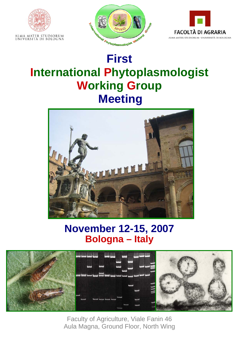





# **International Phytoplasmologist Working Group Meeting**



# **November 12-15, 2007 Bologna – Italy**



Faculty of Agriculture, Viale Fanin 46 Aula Magna, Ground Floor, North Wing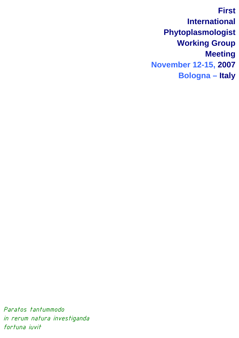**First International Phytoplasmologist Working Group Meeting November 12-15, 2007 Bologna – Italy**

*Paratos tantummodo in rerum natura investiganda fortuna iuvit*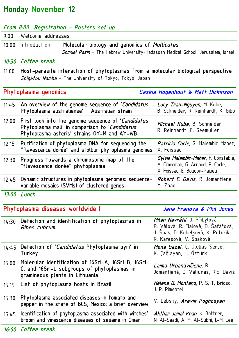# Monday November 12

|       | From 8:00 Registration - Posters set up                                                                                                             |                                                                                                                                              |
|-------|-----------------------------------------------------------------------------------------------------------------------------------------------------|----------------------------------------------------------------------------------------------------------------------------------------------|
| 9:00  | Welcome addresses                                                                                                                                   |                                                                                                                                              |
| 10:00 | Molecular biology and genomics of Mollicutes<br>Introduction                                                                                        |                                                                                                                                              |
|       | <b>Shmuel Razin</b> – The Hebrew University–Hadassah Medical School, Jerusalem, Israel                                                              |                                                                                                                                              |
|       | 10:30 Coffee break                                                                                                                                  |                                                                                                                                              |
| 11:00 | Host-parasite interaction of phytoplasmas from a molecular biological perspective                                                                   |                                                                                                                                              |
|       | Shigetou Namba - The University of Tokyo, Tokyo, Japan                                                                                              |                                                                                                                                              |
|       | Phytoplasma genomics                                                                                                                                | Saskia Hogenhout & Matt Dickinson                                                                                                            |
| 11:45 | An overview of the genome sequence of 'Candidatus<br>Phytoplasma australiense' – Australian strain                                                  | Lucy Tran-Nguyen, M. Kube,<br>B. Schneider, R. Reinhardt, K. Gibb                                                                            |
| 12:00 | First look into the genome sequence of 'Candidatus<br>Phytoplasma mali' in comparison to 'Candidatus<br>Phytoplasma asteris' strains OY-M and AY-WB | Michael Kube, B. Schneider,<br>R. Reinhardt, E. Seemüller                                                                                    |
| 12:15 | Purification of phytoplasma DNA for sequencing the<br>"flavescence dorée" and stolbur phytoplasma genomes                                           | <i>Patricia Carle</i> , S. Malembic-Maher,<br>X. Foissac                                                                                     |
| 12:30 | Progress towards a chromosome map of the<br>"flavescence dorée" phytoplasma                                                                         | Sylvie Malembic-Maher, F. Constable,<br>A. Cimerman, G. Arnaud, P. Carle,<br>X. Foissac, E. Boudon-Padieu                                    |
| 12:45 | Dynamic structures in phytoplasma genomes: sequence-<br>variable mosaics (SVMs) of clustered genes                                                  | <i>Robert E. Davis,</i> R. Jomantiene,<br>Y. Zhao                                                                                            |
| 13:00 | Lunch                                                                                                                                               |                                                                                                                                              |
|       | Phytoplasma diseases worldwide I                                                                                                                    | Jana Franova & Phil Jones                                                                                                                    |
| 14:30 | Detection and identification of phytoplasmas in<br>Ribes rubrum                                                                                     | <i>Milan Navrátil, J.</i> Přibylová,<br>P. Válová, R. Fialová, D. Safářová,<br>J. Spak, D. Kubelková, K. Petrzik,<br>R. Karešová, V. Spaková |
| 14:45 | Detection of 'Candidatus Phytoplasma pyri' in<br>Turkey                                                                                             | Mona Gazel, C. Ulubas Serce,<br>K. Çağlayan, H. Oztürk                                                                                       |
| 15:00 | Molecular identification of 16SrI-A, 16SrI-B, 16SrI-<br>C, and 16Srl-L subgroups of phytoplasmas in<br>gramineous plants in Lithuania               | <i>Laima Urbanavičienė,</i> R.<br>Jomantienė, D. Valiūnas, R.E. Davis                                                                        |
| 15:15 | List of phytoplasma hosts in Brazil                                                                                                                 | Helena G. Montano, P. S. T. Brioso,<br>J. P. Pimentel                                                                                        |
| 15:30 | Phytoplasma associated diseases in tomato and<br>pepper in the state of BCS, Mexico: a brief overview                                               | V. Lebsky, <i>Arevik Poghosyan</i>                                                                                                           |
| 15:45 | Identification of phytoplasma associated with witches'<br>broom and virescence diseases of sesame in Oman                                           | Akthar Jamal Khan, K. Bottner,<br>N. Al-Saadi, A. M. Al-Subhi, I.-M. Lee                                                                     |
|       | $G = 44$                                                                                                                                            |                                                                                                                                              |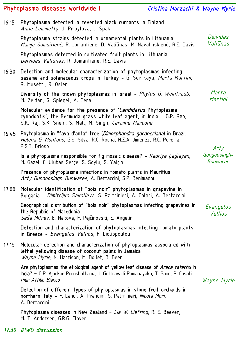|       | Phytoplasma diseases worldwide II                                                                                                                                                                          | Cristina Marzachì & Wayne Myrie |
|-------|------------------------------------------------------------------------------------------------------------------------------------------------------------------------------------------------------------|---------------------------------|
| 16:15 | Phytoplasma detected in reverted black currants in Finland<br>Anne Lemmetty, J. Pribylova, J. Spak                                                                                                         |                                 |
|       | Phytoplasma strains detected in ornamental plants in Lithuania<br>Marija Samuitienė, R. Jomantienė, D. Valiūnas, M. Navalinskienė, R.E. Davis                                                              | Deividas<br>Valiūnas            |
|       | Phytoplasmas detected in cultivated fruit plants in Lithuania<br>Deividas Valiūnas, R. Jomantienė, R.E. Davis                                                                                              |                                 |
| 16:30 | Detection and molecular characterization of phytoplasmas infecting<br>sesame and solanaceous crops in Turkey - G. Sertkaya, Marta Martini,<br>R. Musetti, R. Osler                                         |                                 |
|       | Diversity of the known phytoplasmas in Israel - Phyllis G. Weintraub,<br>M. Zeidan, S. Spiegel, A. Gera                                                                                                    | Marta<br>Martini                |
|       | Molecular evidence for the presence of 'Candidatus Phytoplasma<br>cynodontis', the Bermuda grass white leaf agent, in India - G.P. Rao,<br>S.K. Raj, S.K. Snehi, S. Mall, M. Singh, <i>Carmine Marcone</i> |                                 |
| 16:45 | Phytoplasma in "fava d'anta" tree ( <i>Dimorphandra gardneriana</i> ) in Brazil<br>Helena G. Montano, G.S. Silva, R.C. Rocha, N.Z.A. Jimenez, R.C. Pereira,<br>P.S.T. Brioso                               | Arty                            |
|       | Is a phytoplasma responsible for fig mosaic disease? - Kadriye Caglayan,<br>M. Gazel, Ç. Ulubas Serçe, S. Soylu, S. Yalçın                                                                                 | Gungoosingh-<br>Bunwaree        |
|       | Presence of phytoplasma infections in tomato plants in Mauritius<br>Arty Gungoosingh-Bunwaree, A. Bertaccini, S.P. Benimadhu                                                                               |                                 |
| 17:00 | Molecular identification of "bois noir" phytoplasmas in grapevine in<br>Bulgaria - <i>Dimitrijka Sakalieva</i> , S. Paltrinieri, A. Calari, A. Bertaccini                                                  |                                 |
|       | Geographical distribution of "bois noir" phytoplasmas infecting grapevines in<br>the Republic of Macedonia                                                                                                 | Evangelos<br><b>Vellios</b>     |
|       | <i>Saša Mitrev</i> , E. Nakova, F. Pejčinovski, E. Angelini<br>Detection and characterization of phytoplasmas infecting tomato plants<br>in Greece - Evangelos Vellios, F. Lioliopoulou                    |                                 |
| 17:15 | Molecular detection and characterization of phytoplasmas associated with<br>lethal yellowing disease of coconut palms in Jamaica<br>Wayne Myrie, N. Harrison, M. Dollet, B. Been                           |                                 |
|       | Are phytoplasmas the etiological agent of yellow leaf disease of <i>Areca catechu</i> in<br>India? - CR. Ajadkar Purushothama, J. Gottravalli Ramanayaka, T. Sano, P. Casati,<br>Pier Attilio Bianco       | Wayne Myrie                     |
|       | Detection of different types of phytoplasmas in stone fruit orchards in<br>northern Italy - F. Landi, A. Prandini, S. Paltrinieri, <i>Nicola Mori</i> ,<br>A. Bertaccini                                   |                                 |
|       | Phytoplasma diseases in New Zealand - Lia W. Liefting, R. E. Beever,<br>M. T. Andersen, G.R.G. Clover                                                                                                      |                                 |

*17:30 IPWG discussion*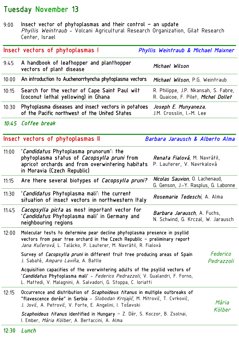### Tuesday November 13

9:00 Insect vector of phytoplasmas and their control – an update *Phyllis Weintraub* - Volcani Agricultural Research Organization, Gilat Research Center, Israel

|       | Insect vectors of phytoplasmas I                                                                                                                                                                                                  | Phyllis Weintraub & Michael Maixner                                         |
|-------|-----------------------------------------------------------------------------------------------------------------------------------------------------------------------------------------------------------------------------------|-----------------------------------------------------------------------------|
| 9:45  | A handbook of leafhopper and planthopper<br>vectors of plant disease                                                                                                                                                              | Michael Wilson                                                              |
| 10:00 | An introduction to Auchenorrhyncha phytoplasma vectors                                                                                                                                                                            | <i>Michael Wilson</i> , P.G. Weintraub                                      |
| 10:15 | Search for the vector of Cape Saint Paul wilt<br>(coconut lethal yellowing) in Ghana                                                                                                                                              | R. Philippe, J.P. Nkansah, S. Fabre,<br>R. Quaicoe, F. Pilet, Michel Dollet |
| 10:30 | Phytoplasma diseases and insect vectors in potatoes<br>of the Pacific northwest of the United States                                                                                                                              | Joseph E. Munyaneza,<br>J.M. Crosslin, I.-M. Lee                            |
|       | 10:45 Coffee break                                                                                                                                                                                                                |                                                                             |
|       | Insect vectors of phytoplasmas II                                                                                                                                                                                                 | Barbara Jarausch & Alberto Alma                                             |
| 11:00 | <i>'Candidatus</i> Phytoplasma prunorum': the<br>phytoplasma status of <i>Cacopsylla pruni</i> from<br>apricot orchards and from overwintering habitats<br>in Moravia (Czech Republic)                                            | <i>Renata Fialová,</i> M. Navrátil,<br>P. Lauterer, V. Navrkalová           |
| 11:15 | Are there several biotypes of Cacopsylla pruni?                                                                                                                                                                                   | Nicolas Sauvion, O. Lachenaud,<br>G. Genson, J.-Y. Rasplus, G. Labonne      |
| 11:30 | <i>'Candidatus</i> Phytoplasma mali': the current<br>situation of insect vectors in northwestern Italy                                                                                                                            | <i>Rosemarie Tedeschi</i> , A. Alma                                         |
| 11:45 | <i>Cacopsylla picta</i> as most important vector for<br><i>'Candidatus</i> Phytoplasma mali' in Germany and<br>neighbouring regions                                                                                               | <i>Barbara Jarausch</i> , A. Fuchs,<br>N. Schwind, G. Krczal, W. Jarausch   |
| 12:00 | Molecular tests to determine pear decline phytoplasma presence in psyllid<br>vectors from pear tree orchard in the Czech Republic - preliminary report<br><i>Jana Kučerová</i> , L. Talácko, P. Lauterer, M. Navrátil, R. Fialová |                                                                             |
|       | Survey of Cacopsylla pruni in different fruit tree producing areas of Spain<br>J. Sabaté, Amparo Laviña, A. Batlle                                                                                                                | Federico<br>Pedrazzoli                                                      |
|       | Acquisition capacities of the overwintering adults of the psyllid vectors of<br>'Candidatus Phytoplasma mali' - Federico Pedrazzoli, V. Gualandri, F. Forno,<br>L. Mattedi, V. Malagnini, A. Salvadori, G. Stoppa, C. Ioriatti    |                                                                             |
| 12:15 | Occurrence and distribution of Scaphoideus titanus in multiple outbreaks of<br>"flavescence dorée" in Serbia - Slobodan Krnjajić, M. Mitrović, T. Cvrković,<br>J. Jović, A. Petrović, V. Forte, E. Angelini, I. Toševski          | Mária<br>Kölber                                                             |
|       | Scaphoideus titanus identified in Hungary – Z. Dér, S. Koczor, B. Zsolnai,<br>I. Ember, Mária Kölber, A. Bertaccini, A. Alma                                                                                                      |                                                                             |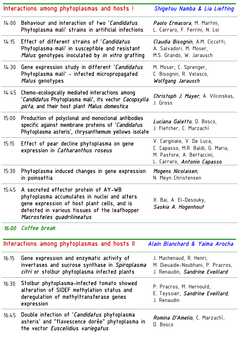|       | Interactions among phytoplasmas and hosts I                                                                                                                                                                              | Shigetou Namba & Lia Liefting                                                                                                      |
|-------|--------------------------------------------------------------------------------------------------------------------------------------------------------------------------------------------------------------------------|------------------------------------------------------------------------------------------------------------------------------------|
| 14:00 | Behaviour and interaction of two 'Candidatus<br>Phytoplasma mali' strains in artificial infections                                                                                                                       | Paolo Ermacora, M. Martini,<br>L. Carraro, F. Ferrini, N. Loi                                                                      |
| 14:15 | Effect of different strains of 'Candidatus<br>Phytoplasma mali' in susceptible and resistant<br>Malus genotypes inoculated by in vitro grafting                                                                          | Claudia Bisognin, A.M. Ciccotti,<br>A. Salvadori, M. Moser,<br>M.S. Grando, W. Jarausch                                            |
| 14:30 | Gene expression study in different 'Candidatus<br>Phytoplasma mali' - infected micropropagated<br>Malus genotypes                                                                                                        | M. Moser, C. Sprenger,<br>C. Bisognin, R. Velasco,<br>Wolfgang Jarausch                                                            |
| 14:45 | Chemo-ecologically mediated interactions among<br><i>'Candidatus</i> Phytoplasma mali', its vector <i>Cacopsylla</i><br>picta, and their host plant Malus domestica                                                      | <i>Christoph J. Mayer</i> , A. Vilcinskas,<br>J. Gross                                                                             |
| 15:00 | Production of polyclonal and monoclonal antibodies<br>specific against membrane proteins of 'Candidatus<br>Phytoplasma asteris', chrysanthemum yellows isolate                                                           | L <i>uciana Galetto</i> , D. Bosco,<br>J. Fletcher, C. Marzachì                                                                    |
| 15:15 | Effect of pear decline phytoplasma on gene<br>expression in Catharanthus roseus                                                                                                                                          | V. Carginale, V. De Luca,<br>C. Capasso, M.R. Baldi, G. Maria,<br>M. Pastore, A. Bertaccini,<br>L. Carraro, <i>Antonio Capasso</i> |
| 15:30 | Phytoplasma induced changes in gene expression<br>in poinsettia                                                                                                                                                          | Mogens Nicolaisen,<br>N. Meyn Christensen                                                                                          |
|       | 15:45 A secreted effector protein of AY-WB<br>phytoplasma accumulates in nuclei and alters<br>gene expression of host plant cells, and is<br>detected in various tissues of the leafhopper<br>Macrosteles quadrilineatus | X. Bai, A. El-Desouky,<br>Saskia A. Hogenhout                                                                                      |
|       | 16:00 Coffee break                                                                                                                                                                                                       |                                                                                                                                    |
|       | Interactions among phytoplasmas and hosts II                                                                                                                                                                             | Alain Blanchard & Yaima Arocha                                                                                                     |
| 16:15 | Gene expression and enzymatic activity of<br>invertases and sucrose synthase in Spiroplasma<br>citri or stolbur phytoplasma infected plants                                                                              | J. Machenaud, R. Henri,<br>M. Dieuaide-Noubhani, P. Pracros,<br>J. Renaudin, Sandrine Eveillard                                    |
| 16:30 | Stolbur phytoplasma-infected tomato showed<br>alteration of SIDEF methylation status and<br>deregulation of methyltransferase genes<br>expression                                                                        | P. Pracros, M. Hernould,<br>E. Teyssier, Sandrine Eveillard,<br>J. Renaudin                                                        |
| 16:45 | Double infection of <i>'Candidatus</i> phytoplasma<br>asteris' and "flavescence dorée" phytoplasma in<br>the vector Euscelidius variegatus                                                                               | <i>Romina D'Amelio</i> , C. Marzachì,<br>D. Bosco                                                                                  |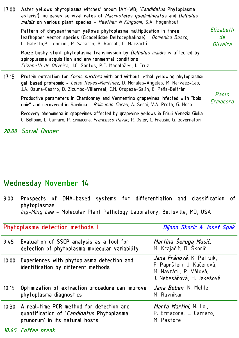| 17:00 | Aster yellows phytoplasma witches' broom (AY-WB; 'Candidatus Phytoplasma<br>asteris') increases survival rates of Macrosteles quadrilineatus and Dalbulus<br>maidis on various plant species - Heather N Kingdom, S.A. Hogenhout                         |                             |
|-------|----------------------------------------------------------------------------------------------------------------------------------------------------------------------------------------------------------------------------------------------------------|-----------------------------|
|       | Pattern of chrysanthemum yellows phytoplasma multiplication in three<br>leafhopper vector species (Cicadellidae Deltocephalinae) - Domenico Bosco,<br>L. Galetto, P. Leoncini, P. Saracco, B. Raccah, C. Marzachì                                        | Elizabeth<br>de<br>Oliveira |
|       | Maize bushy stunt phytoplasma transmission by <i>Dalbulus maidis</i> is affected by<br>spiroplasma acquisition and environmental conditions<br>Elizabeth de Oliveira, J.C. Santos, P.C. Magalhães, I. Cruz                                               |                             |
| 17:15 | Protein extraction for Cocos nucifera with and without lethal yellowing phytoplasma:<br>gel-based proteomic - Celso Reyes-Martínez, D. Morales-Angeles, M. Narvaez-Cab,<br>J.A. Osuna-Castro, D. Zizumbo-Villarreal, C.M. Oropeza-Salín, E. Peña-Beltrán |                             |
|       | Productive parameters in Chardonnay and Vermentino grapevines infected with "bois<br>noir" and recovered in Sardinia - Raimondo Garau, A. Sechi, V.A. Prota, G. Moro                                                                                     | Paolo<br>Ermacora           |
|       | Recovery phenomena in grapevines affected by grapevine yellows in Friuli Venezia Giulia<br>C. Bellomo, L. Carraro, P. Ermacora, <i>Francesco Pavan</i> , R. Osler, C. Frausin, G. Governatori                                                            |                             |

*20:00 Social Dinner* 

## Wednesday November 14

| 9:00  | Prospects of DNA-based systems for differentiation and classification of<br>phytoplasmas<br>Ing-Ming Lee - Molecular Plant Pathology Laboratory, Beltsville, MD, USA |                                                                                                                  |
|-------|----------------------------------------------------------------------------------------------------------------------------------------------------------------------|------------------------------------------------------------------------------------------------------------------|
|       | Phytoplasma detection methods I                                                                                                                                      | Dijana Skoric & Josef Spak                                                                                       |
|       | 9:45 Evaluation of SSCP analysis as a tool for<br>detection of phytoplasma molecular variability                                                                     | Martina Šeruga Musić,<br>M. Krajačić, D. Skorić                                                                  |
|       | 10:00 Experiences with phytoplasma detection and<br>identification by different methods                                                                              | Jana Fránová, K. Petrzik,<br>F. Paprštein, J. Kučerová,<br>M. Navrátil, P. Válová,<br>J. Nebesářová, H. Jakešová |
| 10:15 | Optimization of extraction procedure can improve<br>phytoplasma diagnostics                                                                                          | Jana Boben, N. Mehle,<br>M. Ravnikar                                                                             |

| 10:30 A real-time PCR method for detection and   | <i>Marta Martini,</i> N. Loi, |
|--------------------------------------------------|-------------------------------|
| quantification of <i>'Candidatus</i> Phytoplasma | P. Ermacora, L. Carraro,      |
| prunorum' in its natural hosts                   | M. Pastore                    |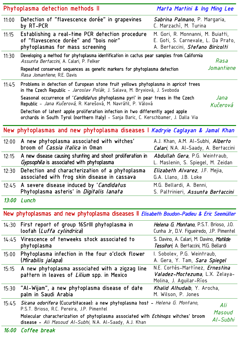|       | Phytoplasma detection methods II                                                                                                                                        | Marta Martini & Ing Ming Lee                                                                                 |
|-------|-------------------------------------------------------------------------------------------------------------------------------------------------------------------------|--------------------------------------------------------------------------------------------------------------|
| 11:00 | Detection of "flavescence dorée" in grapevines<br>by RT-PCR                                                                                                             | <i>Sabrina Palmano</i> , P. Margaria,<br>C. Marzachì, M. Turina                                              |
| 11:15 | Establishing a real-time PCR detection procedure<br>of "flavescence dorée" and "bois noir"<br>phytoplasmas for mass screening                                           | M. Gori, R. Monnanni, M. Buiatti,<br>E. Goti, S. Carnevale, L. Da Prato,<br>A. Bertaccini, Stefano Biricolti |
| 11:30 | Developing a method for phytoplasma identification in cactus pear samples from California<br>Assunta Bertaccini, A. Calari, P. Felker                                   | Rasa                                                                                                         |
|       | Repeated conserved sequences as genetic markers for phytoplasma detection<br>Rasa Jomantiene, R.E. Davis                                                                | Jomantiene                                                                                                   |
| 11:45 | Problems in detection of European stone fruit yellows phytoplasma in apricot trees<br>in the Czech Republic - Jaroslav Polák, J. Salava, M. Bryxiová, J. Svoboda        |                                                                                                              |
|       | Seasonal occurrence of 'Candidatus phytoplasma pyri' in pear trees in the Czech<br>Republic - Jana Kučerová, R. Karešová, M. Navrátil, P. Válová                        | Jana<br>Kučerová                                                                                             |
|       | Detection of latent apple proliferation infection in two differently aged apple<br>orchards in South Tyrol (northern Italy) - Sanja Baric, C. Kerschbamer, J. Dalla Via |                                                                                                              |
|       | New phytoplasmas and new phytoplasma diseases I Kadryie Caglayan & Jamal Khan                                                                                           |                                                                                                              |
| 12:00 | A new phytoplasma associated with witches'<br>broom of <i>Cassia italica</i> in Oman                                                                                    | A.J. Khan, A.M. Al-Subhi, <i>Alberto</i><br>Calari, N.A. Al-Saady, A. Bertaccini                             |
| 12:15 | A new disease causing stunting and shoot proliferation in<br>Gypsophila is associated with phytoplasma                                                                  | <i>Abdullah Gera</i> , P.G. Weintraub,<br>L. Maslenin, S. Spiegel, M. Zeidan                                 |
| 12:30 | Detection and characterization of a phytoplasma<br>associated with frog skin disease in cassava                                                                         | Elizabeth Alvarez, J.F. Mejia,<br>G.A. Llano, J.B. Loke                                                      |
|       | 12:45 A severe disease induced by 'Candidatus<br>Phytoplasma asteris' in <i>Digitalis lanata</i>                                                                        | M.G. Bellardi, A. Benni,<br>S. Paltrinieri, <i>Assunta Bertaccini</i>                                        |
|       | 13:00 Lunch                                                                                                                                                             |                                                                                                              |
|       | New phytoplasmas and new phytoplasma diseases II Elisabeth Boudon-Padieu & Eric Seemüller                                                                               |                                                                                                              |
| 14:30 | First report of group 16Srlll phytoplasma in<br>loofah ( <i>Luffa cylindrica</i> )                                                                                      | Helena G. Montano, P.S.T. Brioso, J.O.<br>Cunha Jr, D.V. Figueiredo, J.P. Pimentel                           |
| 14:45 | Virescence of tenweeks stock associated to<br>phytoplasma                                                                                                               | S. Davino, A. Calari, M. Davino, Matilde<br>Tessitori, A. Bertaccini, M.G. Bellardi                          |
| 15:00 | Phytoplasma infection in the four o'clock flower<br>(Mirabilis jalapa)                                                                                                  | I. Sobolev, P.G. Weintraub,<br>A. Gera, Y. Tam, Sara Spiegel                                                 |
| 15:15 | A new phytoplasma associated with a zigzag line<br>pattern in leaves of <i>Lilium</i> spp. in Mexico                                                                    | N.E. Cortés-Martínez, Ernestina<br><i>Valadez-Moctezuma</i> , L.X. Zelaya-<br>Molina, J. Aguilar-Ríos        |
| 15:30 | "Al–Wijam", a new phytoplasma disease of date<br>palm in Saudi Arabia                                                                                                   | <i>Khalid Alhudaib</i> , Y. Arocha,<br>M. Wilson, P. Jones                                                   |
| 15:45 | Sicana odorifera (Cucurbitaceae): a new phytoplasma host - Helena G. Montano,<br>P.S.T. Brioso, R.C. Pereira, J.P. Pimentel                                             | Ali<br>Masoud                                                                                                |
|       | Molecular characterization of phytoplasma associated with <i>Echinops</i> witches' broom<br>disease - Ali Masoud Al-Subhi, N.A. Al-Saady, A.J. Khan                     | Al-Subhi                                                                                                     |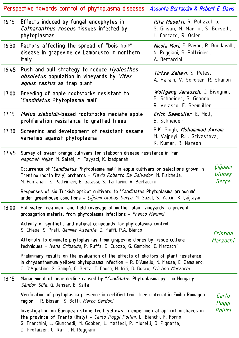|       | Perspective towards control of phytoplasma diseases Assunta Bertaccini & Robert E. Davis                                                                                                                                                                              |                                                                                                     |                           |
|-------|-----------------------------------------------------------------------------------------------------------------------------------------------------------------------------------------------------------------------------------------------------------------------|-----------------------------------------------------------------------------------------------------|---------------------------|
| 16:15 | Effects induced by fungal endophytes in<br>Catharanthus roseus tissues infected by<br>phytoplasmas                                                                                                                                                                    | <i>Rita Musetti</i> , R. Polizzotto,<br>S. Grisan, M. Martini, S. Borselli,<br>L. Carraro, R. Osler |                           |
| 16:30 | Factors affecting the spread of "bois noir"<br>disease in grapevine cv Lambrusco in northern<br>Italy                                                                                                                                                                 | Nicola Mori, F. Pavan, R. Bondavalli,<br>N. Reggiani, S. Paltrinieri,<br>A. Bertaccini              |                           |
|       | 16:45 Push and pull strategy to reduce <i>Hyalesthes</i><br>obsoletus population in vineyards by Vitex<br><i>agnus castus</i> as trap plant                                                                                                                           | <i>Tirtza Zahavi</i> , S. Peles,<br>A. Harari, V. Soroker, R. Sharon                                |                           |
| 17:00 | Breeding of apple rootstocks resistant to<br>'Candidatus Phytoplasma mali'                                                                                                                                                                                            | Wolfgang Jarausch, C. Bisognin,<br>B. Schneider, S. Grando,<br>R. Velasco, E. Seemüller             |                           |
| 17:15 | Malus sieboldii-based rootstocks mediate apple<br>proliferation resistance to grafted trees                                                                                                                                                                           | <i>Erich Seemüller</i> , E. Moll,<br><b>B.</b> Schneider                                            |                           |
| 17:30 | Screening and development of resistant sesame<br>varieties against phytoplasma                                                                                                                                                                                        | P.K. Singh, Mohammad Akram,<br>M. Vajpeyi, R.L. Srivastava,<br>K. Kumar, R. Naresh                  |                           |
| 17:45 | Survey of sweet orange cultivars for stubborn disease resistance in Iran<br>Naghmeh Nejat, M. Salehi, M. Fayyazi, K. Izadpanah                                                                                                                                        |                                                                                                     |                           |
|       | Occurrence of 'Candidatus Phytoplasma mali' in apple cultivars or selections grown in<br>Trentino (north Italy) orchards - Flavio Roberto De Salvador, M. Fisichella,<br>M. Fontanari, S. Paltrinieri, E. Galassi, S. Tartarini, A. Bertaccini                        |                                                                                                     | Çiğdem<br>Ulubaş<br>Serçe |
|       | Responses of six Turkish apricot cultivars to 'Candidatus Phytoplasma prunorum'<br>under greenhouse conditions - Cigdem Ulubaș Serçe, M. Gazel, S. Yalçin, K. Çağlayan                                                                                                |                                                                                                     |                           |
| 18:00 | Hot water treatment and field coverage of mother plant vineyards to prevent<br>propagation material from phytoplasma infections - Franco Mannini                                                                                                                      |                                                                                                     |                           |
|       | Activity of synthetic and natural compounds for phytoplasma control<br>S. Chiesa, S. Prati, Gemma Assante, D. Maffi, P.A. Bianco                                                                                                                                      |                                                                                                     | Cristina                  |
|       | Attempts to eliminate phytoplasmas from grapevine clones by tissue culture<br>techniques - Ivana Gribaudo, P. Ruffa, D. Cuozzo, G. Gambino, C. Marzachi                                                                                                               |                                                                                                     | Marzachì                  |
|       | Preliminary results on the evaluation of the effects of elicitors of plant resistance<br>in chrysanthemum yellows phytoplasma infection $-$ R. D'Amelio, N. Massa, E. Gamalero,<br>G. D'Agostino, S. Sampò, G. Berta, F. Faoro, M. Iriti, D. Bosco, Cristina Marzachì |                                                                                                     |                           |
| 18:15 | Management of pear decline caused by "Candidatus Phytoplasma pyri' in Hungary<br>Sándor Süle, G. Jenser, É. Szita                                                                                                                                                     |                                                                                                     |                           |
|       | Verification of phytoplasma presence in certified fruit tree material in Emilia Romagna<br>region - R. Bissani, S. Botti, Marco Cardoni                                                                                                                               |                                                                                                     | Carlo<br>Poggi            |
|       | Investigation on European stone fruit yellows in experimental apricot orchards in<br>the province of Trento (Italy) - Carlo Poggi Pollini, L. Bianchi, F. Forno,<br>S. Franchini, L. Giunchedi, M. Gobber, L. Mattedi, P. Miorelli, D. Pignatta,                      |                                                                                                     | Pollini                   |

D. Profaizer, C. Ratti, N. Reggiani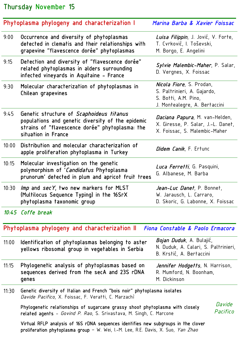### Thursday November 15

|       | Phytoplasma phylogeny and characterization I                                                                                                                            | Marina Barba & Xavier Foissac                                                                                            |
|-------|-------------------------------------------------------------------------------------------------------------------------------------------------------------------------|--------------------------------------------------------------------------------------------------------------------------|
| 9:00  | Occurrence and diversity of phytoplasmas<br>detected in clematis and their relationships with<br>grapevine "flavescence dorée" phytoplasmas                             | Luisa Filippin, J. Jović, V. Forte,<br>T. Cvrković, I. Toševski,<br>M. Borgo, E. Angelini                                |
| 9:15  | Detection and diversity of "flavescence dorée"<br>related phytoplasmas in alders surrounding<br>infected vineyards in Aquitaine - France                                | Sylvie Malembic-Maher, P. Salar,<br>D. Vergnes, X. Foissac                                                               |
| 9:30  | Molecular characterization of phytoplasmas in<br>Chilean grapevines                                                                                                     | <i>Nicola Fiore</i> , S. Prodan,<br>S. Paltrinieri, A. Gajardo,<br>S. Botti, A.M. Pino,<br>J. Montealegre, A. Bertaccini |
| 9:45  | Genetic structure of Scaphoideus titanus<br>populations and genetic diversity of the epidemic<br>strains of "flavescence dorée" phytoplasma: the<br>situation in France | <i>Daciana Papura</i> , M. van-Helden,<br>X. Giresse, P. Salar, J.-L. Danet,<br>X. Foissac, S. Malembic-Maher            |
| 10:00 | Distribution and molecular characterization of<br>apple proliferation phytoplasma in Turkey                                                                             | <i>Didem Canik</i> , F. Ertunc                                                                                           |
| 10:15 | Molecular investigation on the genetic<br>polymorphism of 'Candidatus Phytoplasma<br>prunorum' detected in plum and apricot fruit trees                                 | Luca Ferretti, G. Pasquini,<br>G. Albanese, M. Barba                                                                     |
| 10:30 | <i>Imp</i> and secY, two new markers for MLST<br>(Multilocus Sequence Typing) in the 16SrX<br>phytoplasma taxonomic group                                               | Jean-Luc Danet, P. Bonnet,<br>W. Jarausch, L. Carraro,<br>D. Skoric, G. Labonne, X. Foissac                              |
|       | 10:45 Coffe break                                                                                                                                                       |                                                                                                                          |
|       | Phytoplasma phylogeny and characterization II                                                                                                                           | Fiona Constable & Paolo Ermacora                                                                                         |
| 11:00 | Identification of phytoplasmas belonging to aster<br>yellows ribosomal group in vegetables in Serbia                                                                    | <i>Bojan Duduk</i> , A. Bulajić,<br>N. Duduk, A. Calari, S. Paltrinieri,<br>B. Krstić, A. Bertaccini                     |

- 11:15 Phylogenetic analysis of phytoplasmas based on sequences derived from the secA and 23S rDNA genes
- *Jennifer Hodgetts*, N. Harrison, R. Mumford, N. Boonham, M. Dickinson
- 11:30 Genetic diversity of Italian and French "bois noir" phytoplasma isolates *Davide Pacifico*, X. Foissac, F. Veratti, C. Marzachì

Phylogenetic relationships of sugarcane grassy shoot phytoplasma with closely related agents - *Govind P. Rao*, S. Srivastava, M. Singh, C. Marcone

*Davide Pacifico*

Virtual RFLP analysis of 16S rDNA sequences identifies new subgroups in the clover proliferation phytoplasma group – W. Wei, I.-M. Lee, R.E. Davis, X. Suo, *Yan Zhao*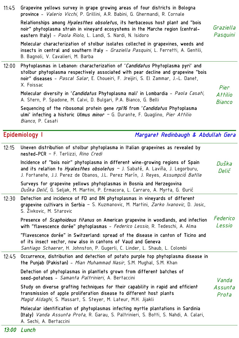### Molecular characterization of stolbur isolates collected in grapevines, weeds and insects in central and southern Italy - *Graziella Pasquini*, L. Ferretti, A. Gentili, B. Bagnoli, V. Cavalieri, M. Barba 12:00 Phytoplasmas in Lebanon: characterization of '*Candidatus* Phytoplasma pyri' and stolbur phytoplasma respectively associated with pear decline and grapevine "bois noir" diseases - *Pascal Salar*, E. Choueiri, F. Jreijiri, S. El Zammar, J.-L. Danet, X. Foissac Molecular diversity in '*Candidatus* Phytoplasma mali' in Lombardia - *Paola Casati*, A. Stern, P. Spadone, M. Calvi, D. Bulgari, P.A. Bianco, G. Belli Sequencing of the ribosomal protein gene *rpl16* from '*Candidatus* Phytoplasma ulmi' infecting a historic *Ulmus minor –* G. Durante, F. Quaglino, *Pier Attilio Bianco*, P. Casati Epidemiology I *Margaret Redinbaugh & Abdullah Gera* 12:15 Uneven distribution of stolbur phytoplasma in Italian grapevines as revealed by nested-PCR – F. Terlizzi, *Rino Credi* Incidence of "bois noir" phytoplasma in different wine-growing regions of Spain and its relation to *Hyalesthes obsoletus –* J. Sabaté, A. Laviña, J. Legorburu, J. Fortanete, J.J. Perez de Obanos, J.L. Perez Marín, J. Reyes, *Assumpció Batlle* Surveys for grapevine yellows phytoplasmas in Bosnia and Herzegovina *Duška Delić*, G. Seljak, M. Martini, P. Ermacora, L. Carraro, A. Myrta, G. Đurić 12:30 Detection and incidence of FD and BN phytoplasmas in vineyards of different grapevine cultivars in Serbia – S. Kuzmanovic, M. Martini, *Zarko Ivanovic*, D. Josic, S. Živkovic, M. Starovic Presence of *Scaphoideus titanus* on American grapevine in woodlands, and infection with "flavescence dorée" phytoplasmas - *Federico Lessio*, R. Tedeschi, A. Alma "Flavescence dorée" in Switzerland: spread of the disease in canton of Ticino and of its insect vector, now also in cantons of Vaud and Geneva *Santiago Schaerer*, H. Johnston, P. Gugerli, C. Linder, L. Shaub, L. Colombi *Federico* 12:45 Occurrence, distribution and detection of potato purple top phytoplasma disease in the Punjab (Pakistan) - *Mian Muhammad Nasir*, S.M. Mughal, S.M. Khan Detection of phytoplasmas in plantlets grown from different batches of seed-potatoes - *Samanta Paltrinieri*, A. Bertaccini Study on diverse grafting techniques for their capability in rapid and efficient transmission of apple proliferation disease to different host plants *Magid Aldaghi*, S. Massart, S. Steyer, M. Lateur, M.H. Jijakli Molecular identification of phytoplasmas infecting myrtle plantations in Sardinia (Italy) *Vanda Assunta Prota*, R. Garau, S. Paltrinieri, S. Botti, S. Nahdi, A. Calari, A. Sechi, A. Bertaccini *Assunta*

11:45 Grapevine yellows survey in grape growing areas of four districts in Bologna province - *Valerio Vicchi*, P. Grillini, A.R. Babini, G. Ghermandi, R. Cornale

Relationships among *Hyalesthes obsoletus*, its herbaceous host plant and "bois noir" phytoplasma strain in vineyard ecosystems in the Marche region (centraleastern Italy) - *Paola Riolo*, L. Landi, S. Nardi, N. Isidoro

*Graziella Pasquini*

*Pier Attilio Bianco* 

*Duška Delić*

*Lessio* 

*Vanda* 

*Prota*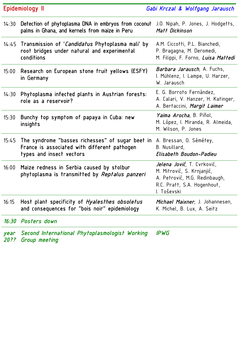| Epidemiology II |                                                                                                                              | Gabi Krczal & Wolfgang Jarausch                                                                                                                 |  |
|-----------------|------------------------------------------------------------------------------------------------------------------------------|-------------------------------------------------------------------------------------------------------------------------------------------------|--|
| 14:30           | Detection of phytoplasma DNA in embryos from coconut<br>palms in Ghana, and kernels from maize in Peru                       | J.O. Nipah, P. Jones, J. Hodgetts,<br>Matt Dickinson                                                                                            |  |
|                 | 14:45 Transmission of <i>'Candidatus</i> Phytoplasma mali' by<br>root bridges under natural and experimental<br>conditions   | A.M. Ciccotti, P.L. Bianchedi,<br>P. Bragagna, M. Deromedi,<br>M. Filippi, F. Forno, Luisa Mattedi                                              |  |
| 15:00           | Research on European stone fruit yellows (ESFY)<br>in Germany                                                                | <i>Barbara Jarausch</i> , A. Fuchs,<br>I. Mühlenz, I. Lampe, U. Harzer,<br>W. Jarausch                                                          |  |
| 14:30           | Phytoplasma infected plants in Austrian forests:<br>role as a reservoir?                                                     | E. G. Borroto Fernández,<br>A. Calari, V. Hanzer, H. Katinger,<br>A. Bertaccini, Margit Laimer                                                  |  |
| 15:30           | Bunchy top symptom of papaya in Cuba: new<br>insights                                                                        | <i>Yaima Arocha</i> , B. Piñol,<br>M. López, I. Miranda, R. Almeida,<br>M. Wilson, P. Jones                                                     |  |
| 15:45           | The syndrome "basses richesses" of sugar beet in<br>France is associated with different pathogen<br>types and insect vectors | A. Bressan, O. Sémétey,<br>B. Nusillard,<br>Elisabeth Boudon-Padieu                                                                             |  |
| 16:00           | Maize redness in Serbia caused by stolbur<br>phytoplasma is transmitted by <i>Reptalus panzeri</i>                           | <i>Jelena Jović</i> , T. Cvrković,<br>M. Mitrović, S. Krnjanjić,<br>A. Petrović, M.G. Redinbaugh,<br>R.C. Pratt, S.A. Hogenhout,<br>I. Toševski |  |
| 16:15           | Host plant specificity of <i>Hyalesthes obsoletus</i><br>and consequences for "bois noir" epidemiology                       | Michael Maixner, J. Johannesen,<br>K. Michel, B. Lux, A. Seitz                                                                                  |  |
|                 | 16:30 Posters down                                                                                                           |                                                                                                                                                 |  |
| year            | Second International Phytoplasmologist Working                                                                               | <b>IPWG</b>                                                                                                                                     |  |

*20?? Group meeting*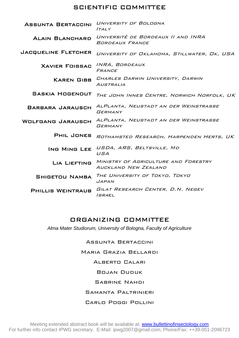#### SCIENTIFIC COMMITTEE

| <b>ASSUNTA BERTACCINI</b>  | UNIVERSITY OF BOLOGNA<br>ITALY                               |
|----------------------------|--------------------------------------------------------------|
| <b>ALAIN BLANCHARD</b>     | UNIVERSITÈ DE BORDEAUX II AND INRA<br>BORDEAUX FRANCE        |
| <b>JACQUELINE FLETCHER</b> | UNIVERSITY OF OKLAHOMA, STILLWATER, OK, USA                  |
| <b>XAVIER FOISSAC</b>      | INRA, BORDEAUX<br>FRANCE                                     |
| <b>KAREN GIBB</b>          | CHARLES DARWIN UNIVERSITY, DARWIN<br>AUSTRALIA               |
| <b>SASKIA HOGENOUT</b>     | THE JOHN INNES CENTRE, NORWICH NORFOLK, UK                   |
| BARBARA JARAUSCH           | ALPLANTA, NEUSTADT AN DER WEINSTRASSE<br><b>GERMANY</b>      |
| <b>WOLFGANG JARAUSCH</b>   | ALPLANTA, NEUSTADT AN DER WEINSTRASSE<br>GERMANY             |
| <b>PHIL JONES</b>          | ROTHAMSTED RESEARCH, HARPENDEN HERTS, UK                     |
| ING MING LEE               | USDA, ARS, BELTSVILLE, MD<br>USA                             |
| <b>LIA LIEFTING</b>        | MINISTRY OF AGRICULTURE AND FORESTRY<br>AUCKLAND NEW ZEALAND |
| <b>SHIGETOU NAMBA</b>      | THE UNIVERSITY OF TOKYO, TOKYO<br><b>JAPAN</b>               |
| <b>PHILLIS WEINTRAUB</b>   | GILAT RESEARCH CENTER, D.N. NEGEV<br><i>ISRA</i> EL          |

### ORGANIZING COMMITTEE

*Alma Mater Studiorum, University of Bologna, Faculty of Agriculture* 

Assunta Bertaccini Maria Grazia Bellardi Alberto Calari Bojan Duduk Sabrine Nahdi Samanta Paltrinieri

#### Carlo Poggi Pollini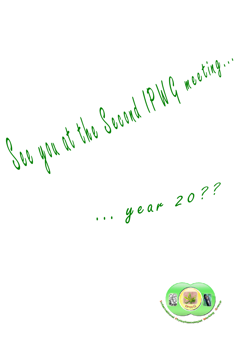COO WOK at the Second 1P WG meeting ... .. gear 20??